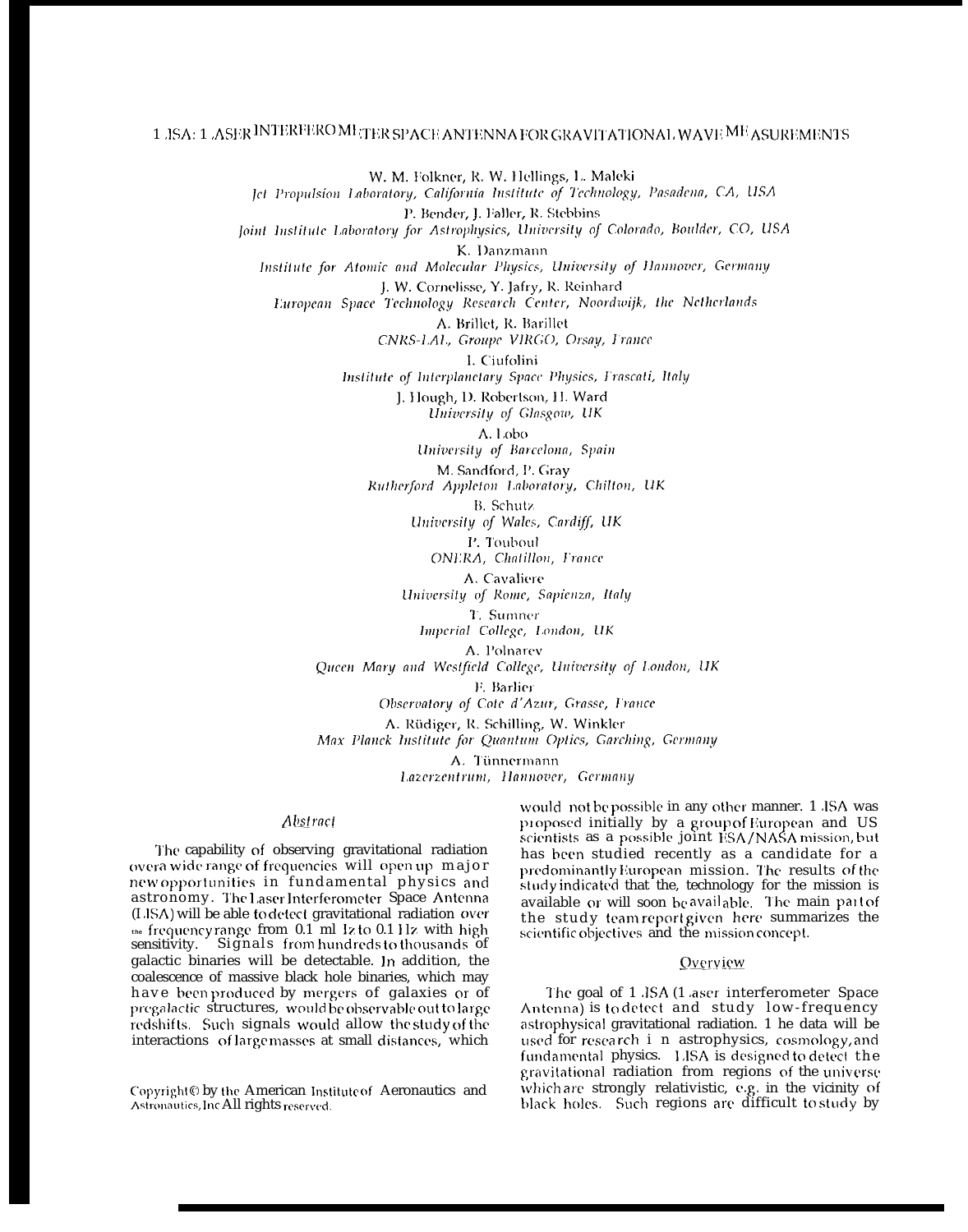# 1 JSA: 1 ASER INTERFERO METER SPACE ANTENNA FOR GRAVITATIONAL WAVE ME ASUREMENTS

W. M. Folkner, R. W. Hellings, L. Maleki Jet Propulsion Laboratory, California Institute of Technology, Pasadena, CA, USA P. Bender, J. Faller, R. Stebbins Joint Institute Laboratory for Astrophysics, University of Colorado, Boulder, CO, USA K. Danzmann Institute for Atomic and Molecular Physics, University of Hannover, Germany J. W. Cornelisse, Y. Jafry, R. Reinhard European Space Technology Research Center, Noordwijk, the Netherlands A. Brillet, R. Barillet CNRS-LAL, Groupe VIRGO, Orsay, France I. Ciufolini Institute of Interplanetary Space Physics, Frascati, Italy J. Hough, D. Robertson, H. Ward University of Glasgow, UK A. Lobo University of Barcelona, Spain M. Sandford, P. Gray Rutherford Appleton Laboratory, Chilton, UK B. Schutz University of Wales, Cardiff, UK P. Touboul ONERA, Chatillon, France A. Cavaliere University of Rome, Sapienza, Italy T. Sumner Imperial College, London, UK A. Polnarev Queen Mary and Westfield College, University of London, UK F. Barlier Observatory of Cote d'Azur, Grasse, France A. Rüdiger, R. Schilling, W. Winkler Max Planck Institute for Quantum Optics, Garching, Germany A. Tünnermann

Lazerzentrum, Hannover, Germany

## Abstract

The capability of observing gravitational radiation overa wide range of frequencies will open up major new opportunities in fundamental physics and astronomy. The Laser Interferometer Space Antenna (LISA) will be able to detect gravitational radiation over the frequency range from 0.1 ml 1z to 0.1 Hz with high sensitivity. Signals from hundreds to thousands of galactic binaries will be detectable. In addition, the coalescence of massive black hole binaries, which may have been produced by mergers of galaxies or of pregalactic structures, would be observable out to large redshifts. Such signals would allow the study of the interactions of large masses at small distances, which

Copyright O by the American Institute of Aeronautics and Astronautics, Inc All rights reserved.

would not be possible in any other manner. 1 JSA was proposed initially by a group of European and US scientists as a possible joint ESA/NASA mission, but has been studied recently as a candidate for a predominantly European mission. The results of the study indicated that the, technology for the mission is available or will soon beavailable. The main part of the study team report given here summarizes the scientific objectives and the mission concept.

# Overview

The goal of 1 JSA (1 aser interferometer Space Antenna) is to detect and study low-frequency astrophysical gravitational radiation. 1 he data will be used for research i n astrophysics, cosmology, and fundamental physics. LISA is designed to detect the gravitational radiation from regions of the universe which are strongly relativistic, e.g. in the vicinity of black holes. Such regions are difficult to study by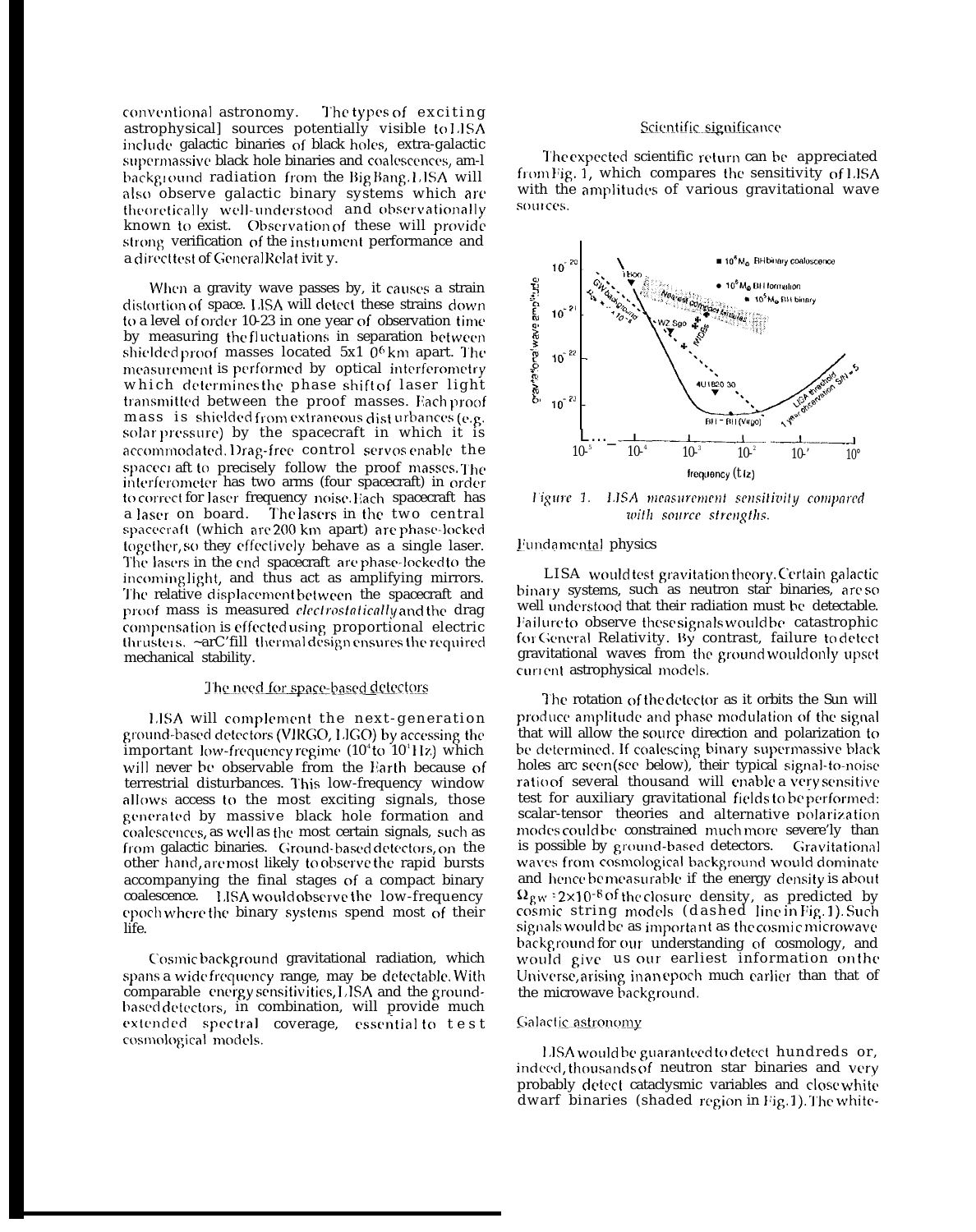conventional astronomy. The types of exciting astrophysical] sources potentially visible to 1.1 SA include galactic binaries of black holes, extra-galactic supermassive black hole binaries and coalescences, am-l background radiation from the Big Bang. LISA will also observe galactic binary systems which arc theoretically well-understood and observationally known to exist. Observation of these will provide strong verification of the instrument performance and a direct test of General Relat ivit y.

When a gravity wave passes by, it causes a strain distortion of space. LISA will detect these strains down to a level of order 10-23 in one year of observation time by measuring the fluctuations in separation between shielded proof masses located  $5x1$  0<sup>6</sup> km apart. The measurement is performed by optical interferometry which determines the phase shift of laser light transmitted between the proof masses. Each proof mass is shielded from extraneous dist urbances (e.g. solar pressure) by the spacecraft in which it is accommodated. Drag-free control servos enable the spaceci aft to precisely follow the proof masses. The interferometer has two arms (four spacecraft) in order to correct for laser frequency noise. Hach spacecraft has<br>a laser on board. The lasers in the two central The lasers in the two central spacecraft (which are 200 km apart) are phase-locked together, so they effectively behave as a single laser. The lasers in the end spacecraft are phase-locked to the incoming light, and thus act as amplifying mirrors. The relative displacement between the spacecraft and proof mass is measured *electrostatically* and the drag compensation is effected using proportional electric thrusters.  $\sim$ arC'fill thermal design ensures the required mechanical stability.

## The need for space-based detectors

LISA will complement the next-generation ground-based detectors (VIRGO, LIGO) by accessing the important low-frequency regime  $(10^4$  to  $10^1$ Hz) which will never be observable from the Earth because of terrestrial disturbances. This low-frequency window allows access to the most exciting signals, those generated by massive black hole formation and coalescences, as well as the most certain signals, such as from galactic binaries. Ground-based detectors, on the other hand, are most likely to observe the rapid bursts accompanying the final stages of a compact binary coalescence. IJSA would observe the low-frequency epoch where the binary systems spend most of their life.

Cosmic background gravitational radiation, which spans a wide frequency range, may be detectable. With comparable energy sensitivities, LISA and the groundbased detectors, in combination, will provide much extended spectral coverage, essential to test cosmological models.

#### Scientific significance

The expected scientific return can be appreciated from Fig. 1, which compares the sensitivity of LISA with the amplitudes of various gravitational wave sources.



Figure 1. LISA measurement sensitivity compared with source strengths.

### Fundamental physics

LISA would test gravitation theory. Certain galactic binary systems, such as neutron star binaries, are so well understood that their radiation must be detectable. Failure to observe these signals would be catastrophic for General Relativity. By contrast, failure to detect gravitational waves from the ground would only upset current astrophysical models.

The rotation of the detector as it orbits the Sun will produce amplitude and phase modulation of the signal that will allow the source direction and polarization to be determined. If coalescing binary supermassive black holes arc seen (see below), their typical signal-to-noise ratio of several thousand will enable a very sensitive test for auxiliary gravitational fields to be performed: scalar-tensor theories and alternative polarization modes could be constrained much more severe'ly than is possible by ground-based detectors. Gravitational waves from cosmological background would dominate and hence be measurable if the energy density is about  $\Omega_{\rm gw}$  = 2×10<sup>-8 of</sup> the closure -density, -as--predicted -by cosmic string models (dashed line.inFig.1).Such signals would be as important as the cosmic microwave background for our understanding of cosmology, and would give us our earliest information on the Universe, arising in an epoch much earlier than that of the microwave background.

#### Galactic astronomy

LISA would be guaranteed to detect hundreds or, indeed, thousands of neutron star binaries and very probably detect cataclysmic variables and close white dwarf binaries (shaded region in Fig. 1). The white-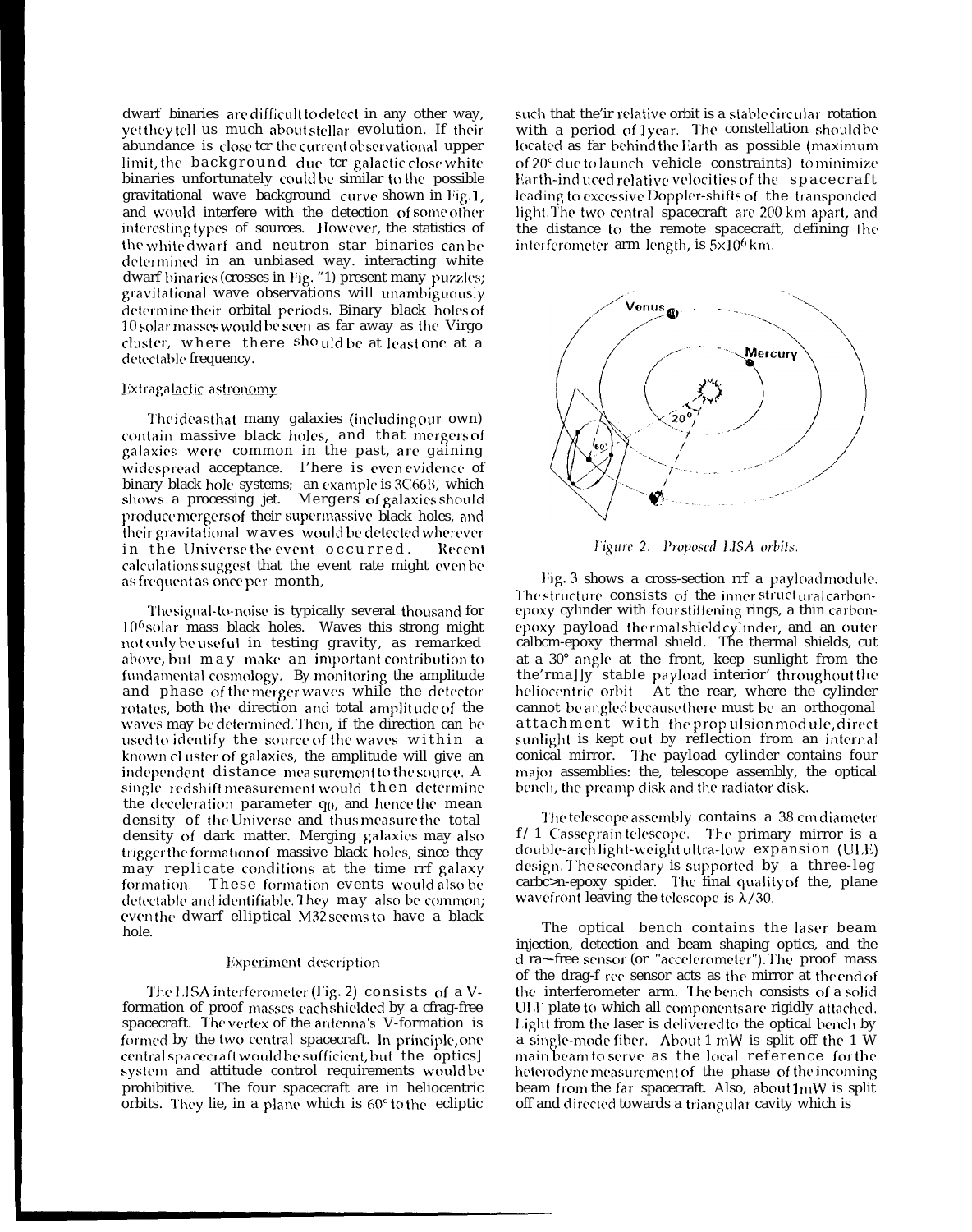dwarf binaries are difficult to detect in any other way, yet they tell us much about stellar evolution. If their abundance is close ter the current observational upper limit, the background due tcr galactic close white binaries unfortunately could be similar to the possible gravitational wave background curve shown in Fig. 1, and would interfere with the detection of some other interesting types of sources. However, the statistics of the white dwarf and neutron star binaries can be determined in an unbiased way. interacting white dwarf binaries (crosses in Fig. "1) present many puzzles; gravitational wave observations will unambiguously determine their orbital periods. Binary black holes of 10 solar masses would be seen as far away as the Virgo cluster, where there should be at least one at a detectable frequency.

#### Extragalactic astronomy

The ideas that many galaxies (including our own) contain massive black holes, and that mergers of galaxies were common in the past, are gaining widespread acceptance. l'here is even evidence of binary black hole systems; an example is 3C66B, which shows a processing jet. Mergers of galaxies shoulc produce mergers of their supermassive black holes, and their gravitational waves would be detected wherever in the Universe the event occurred. Recent calculations suggest that the event rate might even be as frequent as once per month,

The signal-to-noise is typically several thousand for  $10<sup>6</sup>$  solar mass black holes. Waves this strong might not only be useful in testing gravity, as remarked above, but may make an important contribution to fundamental cosmology. By monitoring the amplitude and phase of the merger waves while the detector rotates, both the direction and total amplitude of the waves may be determined. Then, if the direction can be used to identify the source of the waves within a known cluster of galaxies, the amplitude will give an independent distance mea surement to the source. A single redshift measurement would then determine the deceleration parameter  $q_0$ , and hence the mean density of the Universe and thus measure the total density of dark matter. Merging galaxies may also trigger the formation of massive black holes, since they may replicate conditions at the time rrf galaxy formation. These formation events would also be detectable and identifiable. They may also be common; even the dwarf elliptical M32 seems to have a black hole.

#### Experiment description

The LISA interferometer (Fig. 2) consists of a Vformation of proof masses each shielded by a cfrag-free spacecraft. The vertex of the antenna's V-formation is formed by the two central spacecraft. In principle, one central spa cecraft would be sufficient, but the optics] system and attitude control requirements would be prohibitive. The four spacecraft are in heliocentric orbits. I'hcy lie, in a plane which is 60° to the ecliptic

such that the'ir relative orbit is a stable circular rotation with a period of 1 year. The constellation should be located as far behind the Earth as possible (maximum of 20° due to launch vehicle constraints) to minimize  $\frac{1}{2}$  Earth-induced relative velocities of the  $\frac{1}{2}$  spacecraft leading to excessive Doppler-shifts of the transponded light. The two central spacecraft are 200 km apart, and the distance to the remote spacecraft, defining ihc interferometer arm length, is  $5\times10^{6}$  km.



Figure 2. Proposed LISA orbits.

Fig. 3 shows a cross-section rrf a payload module. The structure consists of the inner struct ural carbonepoxy cylinder with four stiffening rings, a thin carbonepoxy payload thermal shield cylinder, and an outer calbcm-epoxy thermal shield. The thermal shields, cut at a 30° angle at the front, keep sunlight from the the'rma]]y stable payload interior' throughout the heliocentric orbit. At the rear, where the cylinder cannot be angled because there must be an orthogonal attachment with the propulsion module, direct sunlight is kept out by reflection from an internal conical mirror. The payload cylinder contains four major assemblies: the, telescope assembly, the optical bench, the preamp disk and the radiator disk.

The telescope assembly contains a 38 cm diameter  $f/1$  Cassegrain telescope. The primary mirror is a double-arch light-weight ultra-low expansion  $(ULE)$ design. The secondary is supported by a three-leg carbc>n-epoxy spider. The final quality of the, plane wavefront leaving the telescope is  $\lambda/30$ .

The optical bench contains the laser beam injection, detection and beam shaping optics, and the d ra~-free sensor (or "accelerometer"). The proof mass of the drag-f rec sensor acts as the mirror at the end of the interferometer arm. The bench consists of a solid ULL plate to which all components are rigidly attached. Light from the laser is delivered to the optical bench by a single-mode fiber. About 1 mW is split off the 1 W main beam to serve as the local reference for the, heterodyne measurement of the phase of the incoming beam from the far spacecraft. Also, about  $1mW$  is split off and directed towards a triangular cavity which is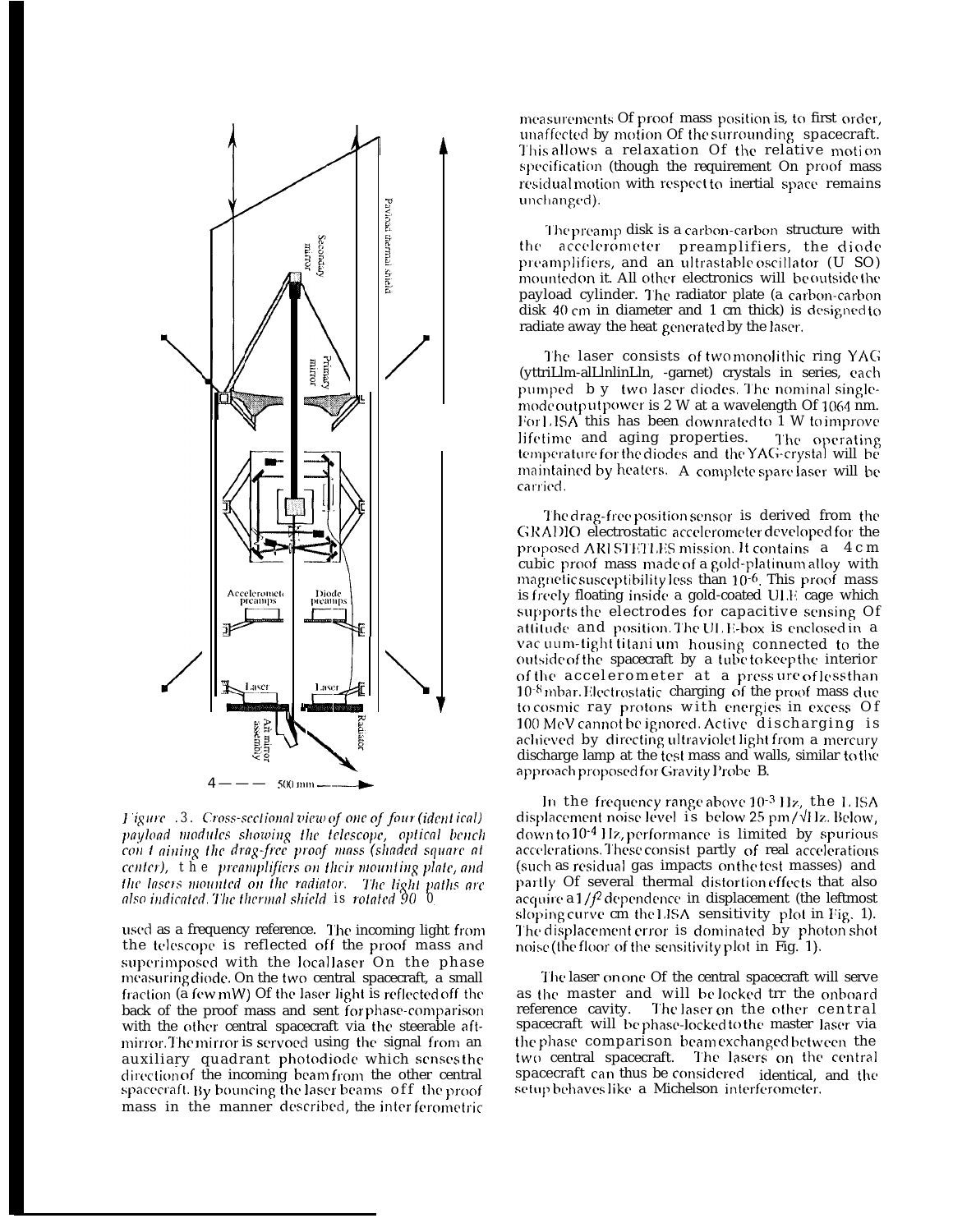

I igure .3. Cross-sectional view of one of four (identical) payload modules showing the telescope, optical bench con t aining the drag-free proof mass (shaded square at center), the preamplifiers on their mounting plate, and the lasers mounted on the radiator. The light paths are also indicated. The thermal shield is rotated 90 0

used as a frequency reference. The incoming light from the telescope is reflected off the proof mass and superimposed with the locallaser On the phase measuring diode. On the two central spacecraft, a small fraction (a few mW) Of the laser light is reflected off the back of the proof mass and sent for phase-comparison with the other central spacecraft via the steerable aftmirror. The mirror is servoed using the signal from an auxiliary quadrant photodiode which senses the direction of the incoming beamfrom the other central spacecraft. By bouncing the laser beams off the proof mass in the manner described, the interferometric

measurements Of proof mass position is, to first order. unaffected by motion Of the surrounding spacecraft. This allows a relaxation Of the relative motion specification (though the requirement On proof mass residual motion with respect to inertial space remains unchanged).

The preamp disk is a carbon-carbon structure with the accelerometer preamplifiers, the diode preamplifiers, and an ultrastable oscillator (U SO) mounted on it. All other electronics will be outside the payload cylinder. The radiator plate (a carbon-carbon disk 40 cm in diameter and 1 cm thick) is designed to radiate away the heat generated by the laser.

The laser consists of two monolithic ring YAG (yttriLlm-alLlnlinLln, -garnet) crystals in series, each pumped b y two laser diodes. The nominal singlemode output power is 2 W at a wavelength Of 1064 nm. For LISA this has been downrated to 1 W to improve lifetime and aging properties. The operating temperature for the diodes and the YAG-crystal will be maintained by heaters. A complete spare laser will be carried.

The drag-free position sensor is derived from the GRADIO electrostatic accelerometer developed for the proposed ARI STETLES mission. It contains a 4 c m cubic proof mass made of a gold-platinum alloy with magnetic susceptibility less than  $10^{-6}$ . This proof mass is freely floating inside a gold-coated ULF cage which supports the electrodes for capacitive sensing Of attitude and position. The ULE-box is enclosed in a vac uum-tight titani um housing connected to the outside of the spacecraft by a tube to keep the interior of the accelerometer at a pressure of less than  $10^{-8}$  mbar. Electrostatic charging of the proof mass due to cosmic ray protons with energies in excess Of 100 MeV cannot be ignored. Active discharging is achieved by directing ultraviolet light from a mercury discharge lamp at the test mass and walls, similar to the approach proposed for Gravity Probe B.

In the frequency range above 10<sup>-3</sup> Hz, the LISA displacement noise level is below  $25 \text{ pm}/\sqrt{11}$ z. Below, down to 10<sup>-4</sup> Hz, performance is limited by spurious accelerations. These consist partly of real accelerations (such as residual gas impacts on the test masses) and partly Of several thermal distortion effects that also acquire a  $1/f^2$  dependence in displacement (the leftmost sloping curve cm the LISA sensitivity plot in Fig. 1). The displacement error is dominated by photon shot noise (the floor of the sensitivity plot in Fig. 1).

The laser on one Of the central spacecraft will serve as the master and will belocked trr the onboard reference cavity. The laser on the other central spacecraft will be phase-locked to the master laser via the phase comparison beam exchanged between the two central spacecraft. The lasers on the central spacecraft can thus be considered identical, and the setup behaves like a Michelson interferometer.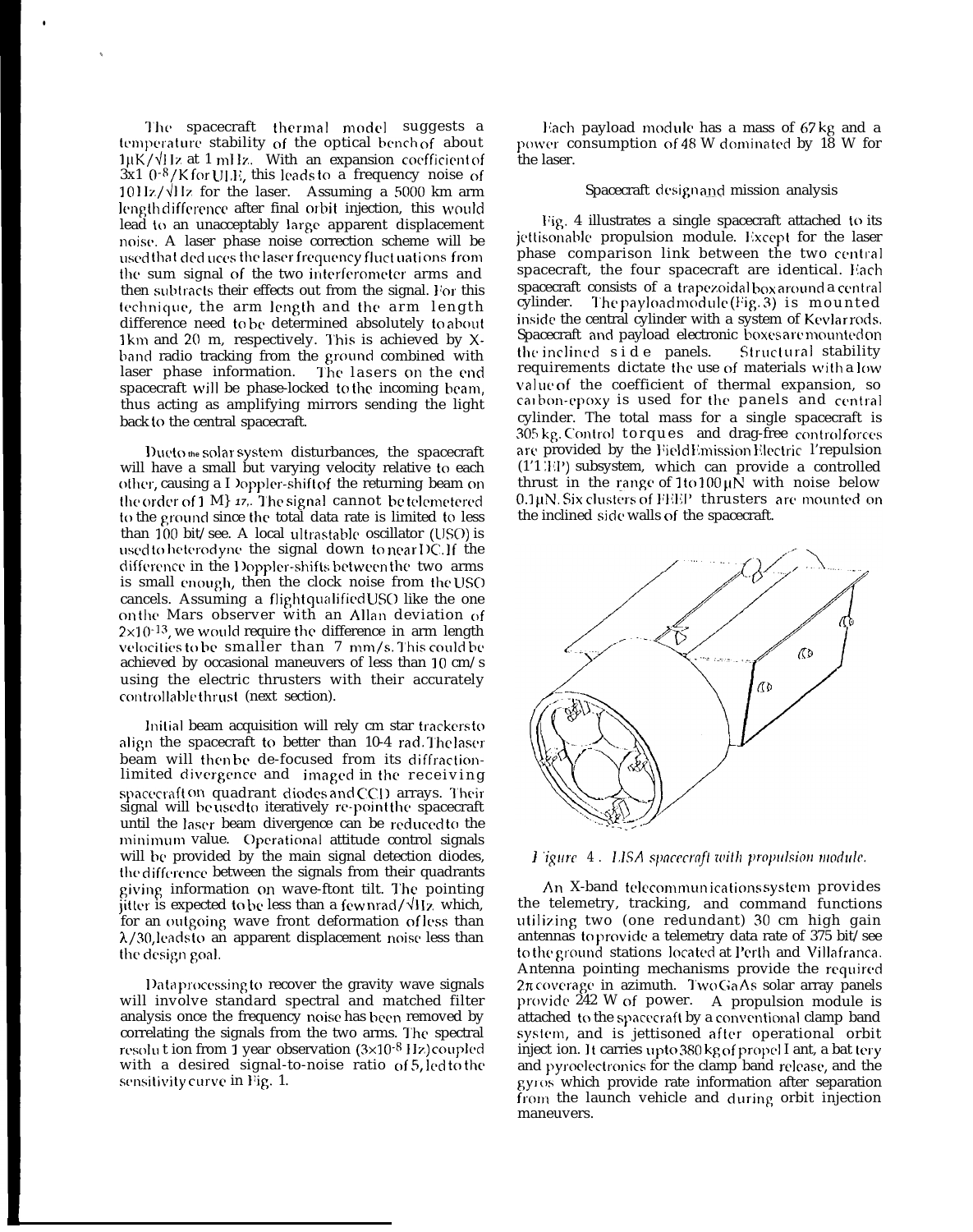The spacecraft thermal model suggests a temperature stability of the optical bench of about  $1\mu$ K/ $\sqrt{11}$ z at 1 mHz. With an expansion coefficient of  $3x1$   $0^{-8}/K$  for ULE, this leads to a frequency noise of  $1011z/\sqrt{11}z$  for the laser. Assuming a 5000 km arm length difference after final orbit injection, this would lead to an unacceptably large apparent displacement noise. A laser phase noise correction scheme will be **LIST** is used that ded uces the laser frequency fluct uations from the sum signal of the two interferometer arms and then subtracts their effects out from the signal. For this technique, the arm length and the arm length difference need to be determined absolutely to about 1 km and 20 m, respectively. This is achieved by  $X$ band radio tracking from the ground combined with laser phase information. The lasers on the end spacecraft will be phase-locked to the incoming beam, thus acting as amplifying mirrors sending the light back to the central spacecraft.

●

✎

<sup>1</sup> **)LIL' to the** solar' system disturbances, the spacecraft will have a small but varying velocity relative to each other, causing a I )oppler-shift of the returning beam on the order of 1 M<sub>3</sub> 17,. The signal cannot be telemetered to the ground since the total data rate is limited to less than  $100$  bit/see. A local ultrastable oscillator (USO) is used to heterodyne the signal down to near DC. If the difference in the Doppler-shifts between the two arms is small enough, then the clock noise from the USO cancels. Assuming a flight qualified USO like the one on the Mars observer with an Allan deviation of  $2\times10^{-13}$ , we would require the difference in arm length velocities to be smaller than  $7 \text{ mm/s}$ . This could be achieved by occasional maneuvers of less than 10 cm/s using the electric thrusters with their accurately controllable thrust (next section).

Initial beam acquisition will rely cm star trackers to align the spacecraft to better than 10-4 rad. The laser beam will then be de-focused from its diffractionlimited divergence and imaged in the receiving spacecraft on quadrant diodes and CCD arrays. Their signal will be used to iteratively re-point the spacecraft until the laser beam divergence can be reduced to the minimum value. Operational attitude control signals will bc provided by the main signal detection diodes, the difference between the signals from their quadrants giving information on wave-ftont tilt. The pointing jitter is expected to be less than a few nrad/ $\sqrt{Hz}$  which, for an outgoing wave front deformation of less than  $\lambda$ /30, leads to an apparent displacement noise less than the design goal.

<sup>1</sup> )ata processing to recover the gravity wave signals will involve standard spectral and matched filter analysis once the frequency noise has been removed by correlating the signals from the two arms. The spectral resolut ion from  $\overline{1}$  year observation  $(3\times10^{-8}$  Hz) coupled with a desired signal-to-noise ratio of 5, led to the sensitivity curve in Fig. 1.

Each payload module has a mass of 67 kg and a power consumption of 48 W dominated by 18 W for the laser.

### Spacecraft designand mission analysis

Fig. 4 illustrates a single spacecraft attached to its jettisonable propulsion module. Except for the laser phase comparison link between the two central spacecraft, the four spacecraft are identical. Each spacecraft consists of a trapezoidal box around a central cylinder. The payload module (Fig. 3) is mounted The payload module (Fig. 3) is mounted inside the central cylinder with a system of Kevlar rods. Spacecraft and payload electronic boxes are mounted on the inclined side panels. Structural stability requirements dictate the use of materials with a low value of the coefficient of thermal expansion, so carbon-epoxy is used for the panels and central cylinder. The total mass for a single spacecraft is 305 kg. Control torques and drag-free controlforces are provided by the FieldEmission Electric l'repulsion  $(1'1'1'1')$  subsystem, which can provide a controlled thrust in the range of  $1$  to  $100 \mu$ N with noise below  $0.1 \mu$ N. Six clusters of FEEP thrusters are mounted on the inclined side walls of the spacecraft.





An X-band telecommunications system provides the telemetry, tracking, and command functions utilizing two (one redundant) 30 cm high gain antennas to provide a telemetry data rate of 375 bit/see to the ground stations located at Perth and Villafranca. Antenna pointing mechanisms provide the required  $2\pi$  coverage in azimuth. Two GaAs solar array panels provide  $242$  W of power. A propulsion module is attached to the spacecraft by a conventional clamp band system, and is jettisoned after operational orbit inject ion. It carries upto 380 kg of propel I ant, a bat tery and pyroelectronics for the clamp band release, and the gyros which provide rate information after separation from the launch vehicle and during orbit injection maneuvers.